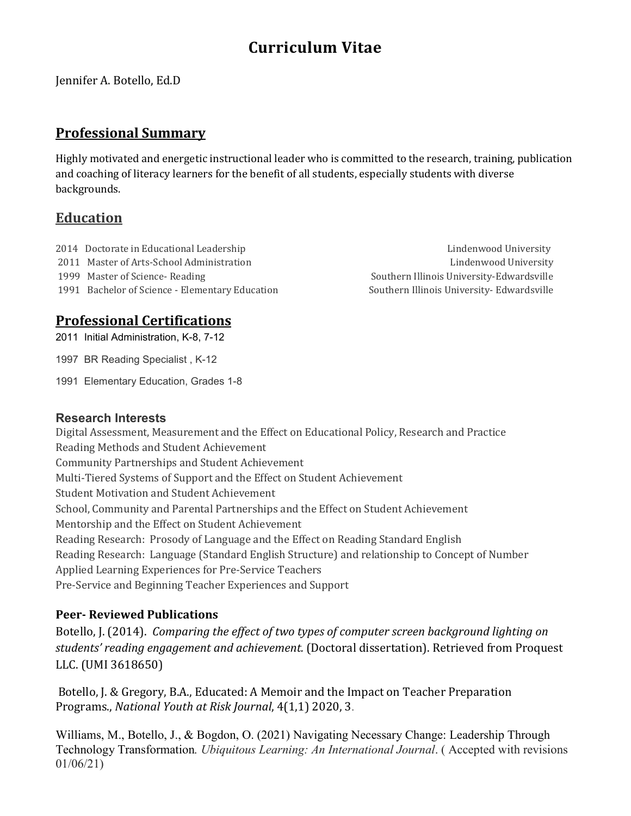# **Curriculum Vitae**

Jennifer A. Botello, Ed.D

### **Professional Summary**

Highly motivated and energetic instructional leader who is committed to the research, training, publication and coaching of literacy learners for the benefit of all students, especially students with diverse backgrounds.

## **Education**

2014 Doctorate in Educational Leadership Lindenwood University Lindenwood University

1991 Bachelor of Science - Elementary Education Southern Illinois University- Edwardsville

# **Professional Certifications**

2011 Initial Administration, K-8, 7-12

1997 BR Reading Specialist , K-12

1991 Elementary Education, Grades 1-8

### **Research Interests**

Digital Assessment, Measurement and the Effect on Educational Policy, Research and Practice Reading Methods and Student Achievement Community Partnerships and Student Achievement Multi-Tiered Systems of Support and the Effect on Student Achievement Student Motivation and Student Achievement School, Community and Parental Partnerships and the Effect on Student Achievement Mentorship and the Effect on Student Achievement Reading Research: Prosody of Language and the Effect on Reading Standard English Reading Research: Language (Standard English Structure) and relationship to Concept of Number Applied Learning Experiences for Pre-Service Teachers Pre-Service and Beginning Teacher Experiences and Support

### **Peer- Reviewed Publications**

Botello, J. (2014). *Comparing the effect of two types of computer screen background lighting on students' reading engagement and achievement.* (Doctoral dissertation). Retrieved from Proquest LLC. (UMI 3618650)

Botello, J. & Gregory, B.A., Educated: A Memoir and the Impact on Teacher Preparation Programs., *National Youth at Risk Journal*, 4(1,1) 2020, 3.

Williams, M., Botello, J., & Bogdon, O. (2021) Navigating Necessary Change: Leadership Through Technology Transformation*. Ubiquitous Learning: An International Journal*. ( Accepted with revisions 01/06/21)

2011 Master of Arts-School Administration Lindenwood University 1999 Master of Science- Reading The Southern Illinois University-Edwardsville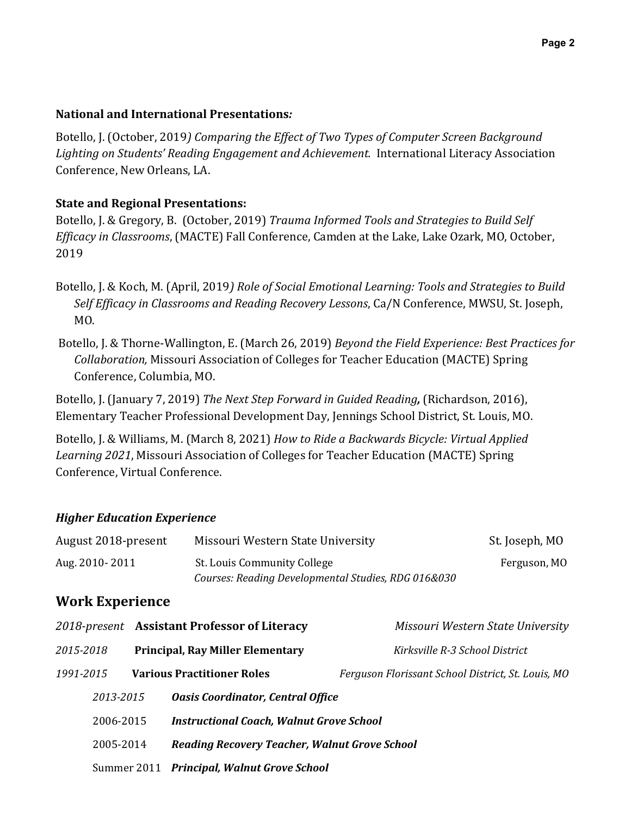### **National and International Presentations***:*

Botello, J. (October, 2019*) Comparing the Effect of Two Types of Computer Screen Background Lighting on Students' Reading Engagement and Achievement.* International Literacy Association Conference, New Orleans, LA.

### **State and Regional Presentations:**

Botello, J. & Gregory, B. (October, 2019) *Trauma Informed Tools and Strategies to Build Self Efficacy in Classrooms*, (MACTE) Fall Conference, Camden at the Lake, Lake Ozark, MO, October, 2019

- Botello, J. & Koch, M. (April, 2019*) Role of Social Emotional Learning: Tools and Strategies to Build Self Efficacy in Classrooms and Reading Recovery Lessons*, Ca/N Conference, MWSU, St. Joseph, MO.
- Botello, J. & Thorne-Wallington, E. (March 26, 2019) *Beyond the Field Experience: Best Practices for Collaboration,* Missouri Association of Colleges for Teacher Education (MACTE) Spring Conference, Columbia, MO.

Botello, J. (January 7, 2019) *The Next Step Forward in Guided Reading,* (Richardson, 2016), Elementary Teacher Professional Development Day, Jennings School District, St. Louis, MO.

Botello, J. & Williams, M. (March 8, 2021) *How to Ride a Backwards Bicycle: Virtual Applied Learning 2021*, Missouri Association of Colleges for Teacher Education (MACTE) Spring Conference, Virtual Conference.

### *Higher Education Experience*

| August 2018-present | Missouri Western State University                   | St. Joseph, MO |
|---------------------|-----------------------------------------------------|----------------|
| Aug. 2010-2011      | St. Louis Community College                         | Ferguson, MO   |
|                     | Courses: Reading Developmental Studies, RDG 016&030 |                |

# **Work Experience**

|           | 2018-present Assistant Professor of Literacy         | Missouri Western State University                  |
|-----------|------------------------------------------------------|----------------------------------------------------|
| 2015-2018 | <b>Principal, Ray Miller Elementary</b>              | Kirksville R-3 School District                     |
| 1991-2015 | <b>Various Practitioner Roles</b>                    | Ferguson Florissant School District, St. Louis, MO |
| 2013-2015 | <b>Oasis Coordinator, Central Office</b>             |                                                    |
| 2006-2015 | <b>Instructional Coach, Walnut Grove School</b>      |                                                    |
| 2005-2014 | <b>Reading Recovery Teacher, Walnut Grove School</b> |                                                    |
|           | Summer 2011 Principal, Walnut Grove School           |                                                    |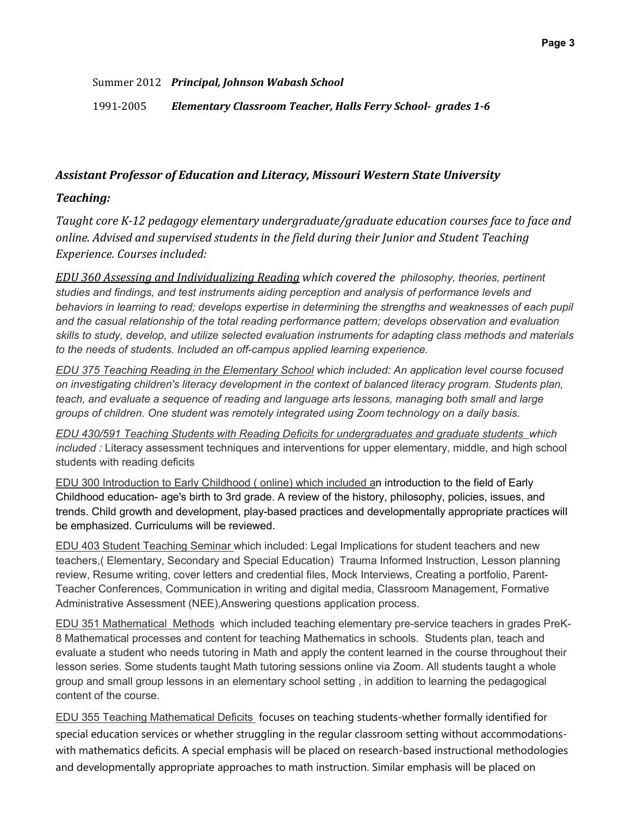Summer 2012 *Principal, Johnson Wabash School*

1991-2005*Elementary Classroom Teacher, Halls Ferry School- grades 1-6*

#### *Assistant Professor of Education and Literacy, Missouri Western State University*

### *Teaching:*

*Taught core K-12 pedagogy elementary undergraduate/graduate education courses face to face and online. Advised and supervised students in the field during their Junior and Student Teaching Experience. Courses included:*

*EDU 360 Assessing and Individualizing Reading which covered the philosophy, theories, pertinent studies and findings, and test instruments aiding perception and analysis of performance levels and behaviors in learning to read; develops expertise in determining the strengths and weaknesses of each pupil and the casual relationship of the total reading performance pattern; develops observation and evaluation skills to study, develop, and utilize selected evaluation instruments for adapting class methods and materials to the needs of students. Included an off-campus applied learning experience.*

*EDU 375 Teaching Reading in the Elementary School which included: An application level course focused on investigating children's literacy development in the context of balanced literacy program. Students plan, teach, and evaluate a sequence of reading and language arts lessons, managing both small and large groups of children. One student was remotely integrated using Zoom technology on a daily basis.*

*EDU 430/591 Teaching Students with Reading Deficits for undergraduates and graduate students which included :* Literacy assessment techniques and interventions for upper elementary, middle, and high school students with reading deficits

EDU 300 Introduction to Early Childhood ( online) which included an introduction to the field of Early Childhood education- age's birth to 3rd grade. A review of the history, philosophy, policies, issues, and trends. Child growth and development, play-based practices and developmentally appropriate practices will be emphasized. Curriculums will be reviewed.

EDU 403 Student Teaching Seminar which included: Legal Implications for student teachers and new teachers,( Elementary, Secondary and Special Education) Trauma Informed Instruction, Lesson planning review, Resume writing, cover letters and credential files, Mock Interviews, Creating a portfolio, Parent-Teacher Conferences, Communication in writing and digital media, Classroom Management, Formative Administrative Assessment (NEE),Answering questions application process.

EDU 351 Mathematical Methods which included teaching elementary pre-service teachers in grades PreK-8 Mathematical processes and content for teaching Mathematics in schools. Students plan, teach and evaluate a student who needs tutoring in Math and apply the content learned in the course throughout their lesson series. Some students taught Math tutoring sessions online via Zoom. All students taught a whole group and small group lessons in an elementary school setting , in addition to learning the pedagogical content of the course.

EDU 355 Teaching Mathematical Deficits focuses on teaching students-whether formally identified for special education services or whether struggling in the regular classroom setting without accommodationswith mathematics deficits. A special emphasis will be placed on research-based instructional methodologies and developmentally appropriate approaches to math instruction. Similar emphasis will be placed on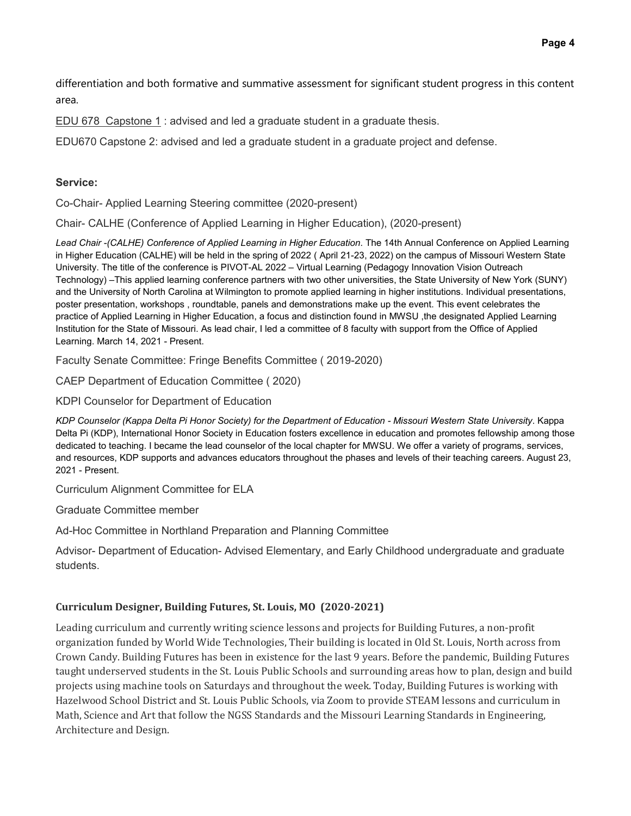differentiation and both formative and summative assessment for significant student progress in this content area.

EDU 678 Capstone 1 : advised and led a graduate student in a graduate thesis.

EDU670 Capstone 2: advised and led a graduate student in a graduate project and defense.

#### **Service:**

Co-Chair- Applied Learning Steering committee (2020-present)

Chair- CALHE (Conference of Applied Learning in Higher Education), (2020-present)

*Lead Chair -(CALHE) Conference of Applied Learning in Higher Education*. The 14th Annual Conference on Applied Learning in Higher Education (CALHE) will be held in the spring of 2022 ( April 21-23, 2022) on the campus of Missouri Western State University. The title of the conference is PIVOT-AL 2022 – Virtual Learning (Pedagogy Innovation Vision Outreach Technology) –This applied learning conference partners with two other universities, the State University of New York (SUNY) and the University of North Carolina at Wilmington to promote applied learning in higher institutions. Individual presentations, poster presentation, workshops , roundtable, panels and demonstrations make up the event. This event celebrates the practice of Applied Learning in Higher Education, a focus and distinction found in MWSU ,the designated Applied Learning Institution for the State of Missouri. As lead chair, I led a committee of 8 faculty with support from the Office of Applied Learning. March 14, 2021 - Present.

Faculty Senate Committee: Fringe Benefits Committee ( 2019-2020)

CAEP Department of Education Committee ( 2020)

KDPI Counselor for Department of Education

*KDP Counselor (Kappa Delta Pi Honor Society) for the Department of Education - Missouri Western State University*. Kappa Delta Pi (KDP), International Honor Society in Education fosters excellence in education and promotes fellowship among those dedicated to teaching. I became the lead counselor of the local chapter for MWSU. We offer a variety of programs, services, and resources, KDP supports and advances educators throughout the phases and levels of their teaching careers. August 23, 2021 - Present.

Curriculum Alignment Committee for ELA

Graduate Committee member

Ad-Hoc Committee in Northland Preparation and Planning Committee

Advisor- Department of Education- Advised Elementary, and Early Childhood undergraduate and graduate students.

#### **Curriculum Designer, Building Futures, St. Louis, MO (2020-2021)**

Leading curriculum and currently writing science lessons and projects for Building Futures, a non-profit organization funded by World Wide Technologies, Their building is located in Old St. Louis, North across from Crown Candy. Building Futures has been in existence for the last 9 years. Before the pandemic, Building Futures taught underserved students in the St. Louis Public Schools and surrounding areas how to plan, design and build projects using machine tools on Saturdays and throughout the week. Today, Building Futures is working with Hazelwood School District and St. Louis Public Schools, via Zoom to provide STEAM lessons and curriculum in Math, Science and Art that follow the NGSS Standards and the Missouri Learning Standards in Engineering, Architecture and Design.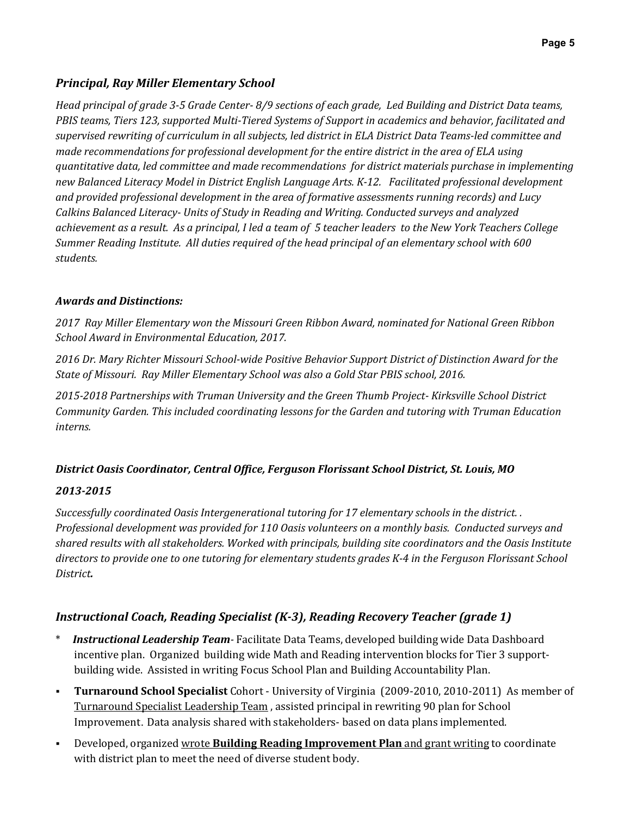### *Principal, Ray Miller Elementary School*

*Head principal of grade 3-5 Grade Center- 8/9 sections of each grade, Led Building and District Data teams, PBIS teams, Tiers 123, supported Multi-Tiered Systems of Support in academics and behavior, facilitated and supervised rewriting of curriculum in all subjects, led district in ELA District Data Teams-led committee and made recommendations for professional development for the entire district in the area of ELA using quantitative data, led committee and made recommendations for district materials purchase in implementing new Balanced Literacy Model in District English Language Arts. K-12. Facilitated professional development and provided professional development in the area of formative assessments running records) and Lucy Calkins Balanced Literacy- Units of Study in Reading and Writing. Conducted surveys and analyzed achievement as a result. As a principal, I led a team of 5 teacher leaders to the New York Teachers College Summer Reading Institute. All duties required of the head principal of an elementary school with 600 students.* 

### *Awards and Distinctions:*

*2017 Ray Miller Elementary won the Missouri Green Ribbon Award, nominated for National Green Ribbon School Award in Environmental Education, 2017.*

*2016 Dr. Mary Richter Missouri School-wide Positive Behavior Support District of Distinction Award for the State of Missouri. Ray Miller Elementary School was also a Gold Star PBIS school, 2016.* 

*2015-2018 Partnerships with Truman University and the Green Thumb Project- Kirksville School District Community Garden. This included coordinating lessons for the Garden and tutoring with Truman Education interns.*

### *District Oasis Coordinator, Central Office, Ferguson Florissant School District, St. Louis, MO*

### *2013-2015*

*Successfully coordinated Oasis Intergenerational tutoring for 17 elementary schools in the district. . Professional development was provided for 110 Oasis volunteers on a monthly basis. Conducted surveys and shared results with all stakeholders. Worked with principals, building site coordinators and the Oasis Institute directors to provide one to one tutoring for elementary students grades K-4 in the Ferguson Florissant School District.* 

### *Instructional Coach, Reading Specialist (K-3), Reading Recovery Teacher (grade 1)*

- \* *Instructional Leadership Team-* Facilitate Data Teams, developed building wide Data Dashboard incentive plan. Organized building wide Math and Reading intervention blocks for Tier 3 supportbuilding wide. Assisted in writing Focus School Plan and Building Accountability Plan.
- **Turnaround School Specialist** Cohort University of Virginia (2009-2010, 2010-2011) As member of Turnaround Specialist Leadership Team , assisted principal in rewriting 90 plan for School Improvement. Data analysis shared with stakeholders- based on data plans implemented.
- Developed, organized wrote **Building Reading Improvement Plan** and grant writing to coordinate with district plan to meet the need of diverse student body.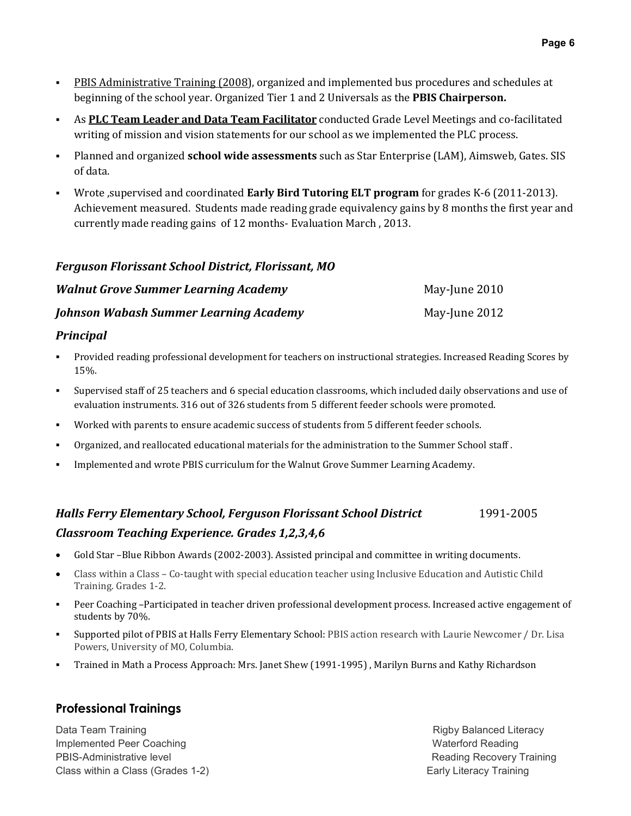- **PBIS Administrative Training (2008)**, organized and implemented bus procedures and schedules at beginning of the school year. Organized Tier 1 and 2 Universals as the **PBIS Chairperson.**
- As **PLC Team Leader and Data Team Facilitator** conducted Grade Level Meetings and co-facilitated writing of mission and vision statements for our school as we implemented the PLC process.
- Planned and organized **school wide assessments** such as Star Enterprise (LAM), Aimsweb, Gates. SIS of data.
- Wrote ,supervised and coordinated **Early Bird Tutoring ELT program** for grades K-6 (2011-2013). Achievement measured. Students made reading grade equivalency gains by 8 months the first year and currently made reading gains of 12 months- Evaluation March , 2013.

### *Ferguson Florissant School District, Florissant, MO*

| <b>Walnut Grove Summer Learning Academy</b>   | May-June 2010 |
|-----------------------------------------------|---------------|
| <b>Johnson Wabash Summer Learning Academy</b> | May-June 2012 |

### *Principal*

- Provided reading professional development for teachers on instructional strategies. Increased Reading Scores by 15%.
- Supervised staff of 25 teachers and 6 special education classrooms, which included daily observations and use of evaluation instruments. 316 out of 326 students from 5 different feeder schools were promoted.
- Worked with parents to ensure academic success of students from 5 different feeder schools.
- Organized, and reallocated educational materials for the administration to the Summer School staff .
- Implemented and wrote PBIS curriculum for the Walnut Grove Summer Learning Academy.

# *Halls Ferry Elementary School, Ferguson Florissant School District* 1991-2005 *Classroom Teaching Experience. Grades 1,2,3,4,6*

- Gold Star –Blue Ribbon Awards (2002-2003). Assisted principal and committee in writing documents.
- Class within a Class Co-taught with special education teacher using Inclusive Education and Autistic Child Training. Grades 1-2.
- Peer Coaching –Participated in teacher driven professional development process. Increased active engagement of students by 70%.
- Supported pilot of PBIS at Halls Ferry Elementary School: PBIS action research with Laurie Newcomer / Dr. Lisa Powers, University of MO, Columbia.
- Trained in Math a Process Approach: Mrs. Janet Shew (1991-1995) , Marilyn Burns and Kathy Richardson

### **Professional Trainings**

Data Team Training **Data Training Rigby Balanced Literacy** Implemented Peer Coaching National Communication of the Waterford Reading Waterford Reading PBIS-Administrative level **Reading Recovery Training** PBIS-Administrative level Class within a Class (Grades 1-2) Class within a Class (Grades 1-2)